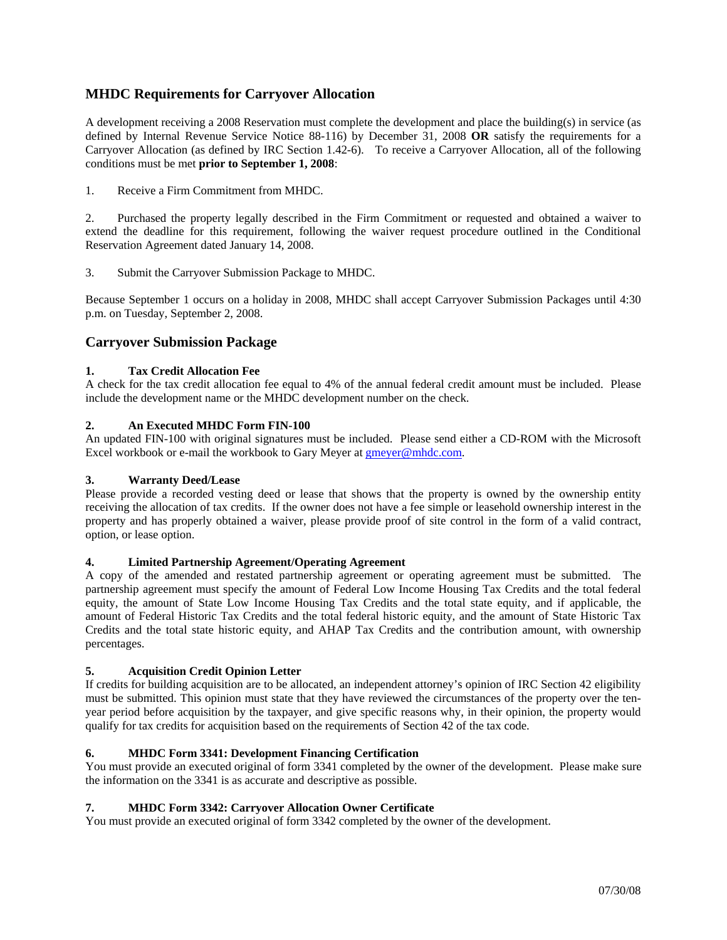# **MHDC Requirements for Carryover Allocation**

A development receiving a 2008 Reservation must complete the development and place the building(s) in service (as defined by Internal Revenue Service Notice 88-116) by December 31, 2008 **OR** satisfy the requirements for a Carryover Allocation (as defined by IRC Section 1.42-6). To receive a Carryover Allocation, all of the following conditions must be met **prior to September 1, 2008**:

1. Receive a Firm Commitment from MHDC.

2. Purchased the property legally described in the Firm Commitment or requested and obtained a waiver to extend the deadline for this requirement, following the waiver request procedure outlined in the Conditional Reservation Agreement dated January 14, 2008.

3. Submit the Carryover Submission Package to MHDC.

Because September 1 occurs on a holiday in 2008, MHDC shall accept Carryover Submission Packages until 4:30 p.m. on Tuesday, September 2, 2008.

## **Carryover Submission Package**

## **1. Tax Credit Allocation Fee**

A check for the tax credit allocation fee equal to 4% of the annual federal credit amount must be included. Please include the development name or the MHDC development number on the check.

## **2. An Executed MHDC Form FIN-100**

An updated FIN-100 with original signatures must be included. Please send either a CD-ROM with the Microsoft Excel workbook or e-mail the workbook to Gary Meyer at gmeyer@mhdc.com.

## **3. Warranty Deed/Lease**

Please provide a recorded vesting deed or lease that shows that the property is owned by the ownership entity receiving the allocation of tax credits. If the owner does not have a fee simple or leasehold ownership interest in the property and has properly obtained a waiver, please provide proof of site control in the form of a valid contract, option, or lease option.

## **4. Limited Partnership Agreement/Operating Agreement**

A copy of the amended and restated partnership agreement or operating agreement must be submitted. The partnership agreement must specify the amount of Federal Low Income Housing Tax Credits and the total federal equity, the amount of State Low Income Housing Tax Credits and the total state equity, and if applicable, the amount of Federal Historic Tax Credits and the total federal historic equity, and the amount of State Historic Tax Credits and the total state historic equity, and AHAP Tax Credits and the contribution amount, with ownership percentages.

#### **5. Acquisition Credit Opinion Letter**

If credits for building acquisition are to be allocated, an independent attorney's opinion of IRC Section 42 eligibility must be submitted. This opinion must state that they have reviewed the circumstances of the property over the tenyear period before acquisition by the taxpayer, and give specific reasons why, in their opinion, the property would qualify for tax credits for acquisition based on the requirements of Section 42 of the tax code.

## **6. MHDC Form 3341: Development Financing Certification**

You must provide an executed original of form 3341 completed by the owner of the development. Please make sure the information on the 3341 is as accurate and descriptive as possible.

#### **7. MHDC Form 3342: Carryover Allocation Owner Certificate**

You must provide an executed original of form 3342 completed by the owner of the development.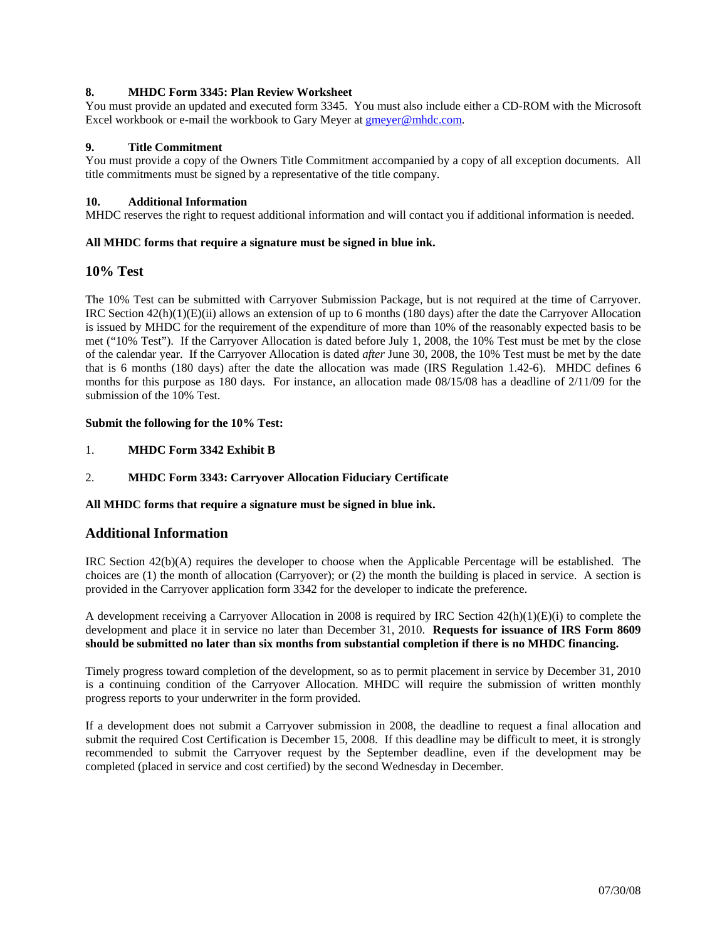## **8. MHDC Form 3345: Plan Review Worksheet**

You must provide an updated and executed form 3345. You must also include either a CD-ROM with the Microsoft Excel workbook or e-mail the workbook to Gary Meyer at  $g$ meyer@mhdc.com.

## **9. Title Commitment**

You must provide a copy of the Owners Title Commitment accompanied by a copy of all exception documents. All title commitments must be signed by a representative of the title company.

#### **10. Additional Information**

MHDC reserves the right to request additional information and will contact you if additional information is needed.

## **All MHDC forms that require a signature must be signed in blue ink.**

## **10% Test**

The 10% Test can be submitted with Carryover Submission Package, but is not required at the time of Carryover. IRC Section  $42(h)(1)(E)(ii)$  allows an extension of up to 6 months (180 days) after the date the Carryover Allocation is issued by MHDC for the requirement of the expenditure of more than 10% of the reasonably expected basis to be met ("10% Test"). If the Carryover Allocation is dated before July 1, 2008, the 10% Test must be met by the close of the calendar year. If the Carryover Allocation is dated *after* June 30, 2008, the 10% Test must be met by the date that is 6 months (180 days) after the date the allocation was made (IRS Regulation 1.42-6). MHDC defines 6 months for this purpose as 180 days. For instance, an allocation made 08/15/08 has a deadline of 2/11/09 for the submission of the 10% Test.

#### **Submit the following for the 10% Test:**

- 1. **MHDC Form 3342 Exhibit B**
- 2. **MHDC Form 3343: Carryover Allocation Fiduciary Certificate**

#### **All MHDC forms that require a signature must be signed in blue ink.**

## **Additional Information**

IRC Section 42(b)(A) requires the developer to choose when the Applicable Percentage will be established. The choices are (1) the month of allocation (Carryover); or (2) the month the building is placed in service. A section is provided in the Carryover application form 3342 for the developer to indicate the preference.

A development receiving a Carryover Allocation in 2008 is required by IRC Section 42(h)(1)(E)(i) to complete the development and place it in service no later than December 31, 2010. **Requests for issuance of IRS Form 8609 should be submitted no later than six months from substantial completion if there is no MHDC financing.**

Timely progress toward completion of the development, so as to permit placement in service by December 31, 2010 is a continuing condition of the Carryover Allocation. MHDC will require the submission of written monthly progress reports to your underwriter in the form provided.

If a development does not submit a Carryover submission in 2008, the deadline to request a final allocation and submit the required Cost Certification is December 15, 2008. If this deadline may be difficult to meet, it is strongly recommended to submit the Carryover request by the September deadline, even if the development may be completed (placed in service and cost certified) by the second Wednesday in December.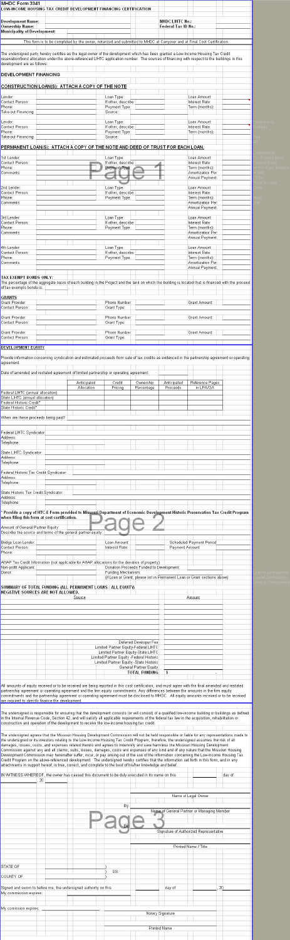| <b>Development Name:</b>                                                                                                                                                                                                                                                                                                                                                                                                                                                                                                                                                                                                                                                                             |                                                                                                                          |                                                                                                                            |                         | <b>MHDC/LIHTC No.:</b><br>Federal Tax ID No.: |                                                        |  |
|------------------------------------------------------------------------------------------------------------------------------------------------------------------------------------------------------------------------------------------------------------------------------------------------------------------------------------------------------------------------------------------------------------------------------------------------------------------------------------------------------------------------------------------------------------------------------------------------------------------------------------------------------------------------------------------------------|--------------------------------------------------------------------------------------------------------------------------|----------------------------------------------------------------------------------------------------------------------------|-------------------------|-----------------------------------------------|--------------------------------------------------------|--|
| <b>Ownership Name:</b><br><b>Municipality of Development:</b>                                                                                                                                                                                                                                                                                                                                                                                                                                                                                                                                                                                                                                        |                                                                                                                          |                                                                                                                            |                         |                                               |                                                        |  |
|                                                                                                                                                                                                                                                                                                                                                                                                                                                                                                                                                                                                                                                                                                      | This form is to be completed by the owner, notarized and submitted to MHDC at Carryover and at Final Cost Certification. |                                                                                                                            |                         |                                               |                                                        |  |
| The undersigned party hereby certifies as the legal owner of the development which has been granted a Low-Income Housing Tax Credit<br>reservation/bond allocation under the above-referenced LIHTC application number. The sources of financing with respect to the buildings in this<br>development are as follows:                                                                                                                                                                                                                                                                                                                                                                                |                                                                                                                          |                                                                                                                            |                         |                                               |                                                        |  |
| <b>DEVELOPMENT FINANCING</b>                                                                                                                                                                                                                                                                                                                                                                                                                                                                                                                                                                                                                                                                         |                                                                                                                          |                                                                                                                            |                         |                                               |                                                        |  |
| <b>CONSTRUCTION LOAN(S): ATTACH A COPY OF THE NOTE</b>                                                                                                                                                                                                                                                                                                                                                                                                                                                                                                                                                                                                                                               |                                                                                                                          |                                                                                                                            |                         |                                               |                                                        |  |
| Lender:<br>Contact Person:                                                                                                                                                                                                                                                                                                                                                                                                                                                                                                                                                                                                                                                                           |                                                                                                                          | Loan Type:<br>If other, describe:                                                                                          |                         |                                               | Loan Amount:<br>Interest Rate:                         |  |
| Phone:<br>Take-out Financing:                                                                                                                                                                                                                                                                                                                                                                                                                                                                                                                                                                                                                                                                        |                                                                                                                          | Payment Type:<br>Source:                                                                                                   |                         |                                               | Term (months):                                         |  |
| Lender:<br>Contact Person:<br>Phone:                                                                                                                                                                                                                                                                                                                                                                                                                                                                                                                                                                                                                                                                 |                                                                                                                          | Loan Type:<br>If other, describe:                                                                                          |                         |                                               | Loan Amount:<br>Interest Rate:                         |  |
| Take-out Financing:                                                                                                                                                                                                                                                                                                                                                                                                                                                                                                                                                                                                                                                                                  |                                                                                                                          | Payment Type:<br>Source:                                                                                                   |                         |                                               | Term (months):                                         |  |
| PERMANENT LOAN(S): ATTACH A COPY OF THE NOTE AND DEED OF TRUST FOR EACH LOAN.<br>1st Lender:                                                                                                                                                                                                                                                                                                                                                                                                                                                                                                                                                                                                         |                                                                                                                          | Loan Type:                                                                                                                 |                         |                                               | Loan Amount:                                           |  |
| Contact Person:<br>Phone:                                                                                                                                                                                                                                                                                                                                                                                                                                                                                                                                                                                                                                                                            |                                                                                                                          | If other, describe:<br>Payment Type:                                                                                       |                         |                                               | Interest Rate:<br>Term (months):                       |  |
| Comments:                                                                                                                                                                                                                                                                                                                                                                                                                                                                                                                                                                                                                                                                                            |                                                                                                                          | $-$                                                                                                                        | --                      |                                               | Amortization Per:<br>Annual Payment:                   |  |
| 2nd Lender:<br>Contact Person:                                                                                                                                                                                                                                                                                                                                                                                                                                                                                                                                                                                                                                                                       |                                                                                                                          | Loan Type:<br>If other, describe:                                                                                          |                         |                                               | Loan Amount:<br>Interest Rate:                         |  |
| Phone:<br>Comments:                                                                                                                                                                                                                                                                                                                                                                                                                                                                                                                                                                                                                                                                                  |                                                                                                                          | Payment Type:                                                                                                              |                         |                                               | Term (months):<br>Amortization Per:                    |  |
| 3rd Lender:                                                                                                                                                                                                                                                                                                                                                                                                                                                                                                                                                                                                                                                                                          |                                                                                                                          | Loan Type:                                                                                                                 |                         |                                               | Annual Payment:<br>Loan Amount:                        |  |
| Contact Person:<br>Phone:                                                                                                                                                                                                                                                                                                                                                                                                                                                                                                                                                                                                                                                                            |                                                                                                                          | If other, describe:<br>Payment Type:                                                                                       |                         |                                               | Interest Rate:<br>Term (months):                       |  |
| Comments:                                                                                                                                                                                                                                                                                                                                                                                                                                                                                                                                                                                                                                                                                            |                                                                                                                          |                                                                                                                            |                         |                                               | Amortization Per:<br>Annual Payment:                   |  |
| 4th Lender:<br>Contact Person:                                                                                                                                                                                                                                                                                                                                                                                                                                                                                                                                                                                                                                                                       |                                                                                                                          | Loan Type:<br>If other, describe:                                                                                          |                         |                                               | Loan Amount:<br>Interest Rate:                         |  |
| Phone:<br>Comments:                                                                                                                                                                                                                                                                                                                                                                                                                                                                                                                                                                                                                                                                                  |                                                                                                                          | Payment Type:                                                                                                              |                         |                                               | Term (months):<br>Amortization Per:<br>Annual Payment: |  |
| TAX EXEMPT BONDS ONLY:                                                                                                                                                                                                                                                                                                                                                                                                                                                                                                                                                                                                                                                                               |                                                                                                                          |                                                                                                                            |                         |                                               |                                                        |  |
| The percentage of the aggregate basis of each building in the Project and the land on which the building is located that is financed with the proceed<br>of tax-exempts bonds is:                                                                                                                                                                                                                                                                                                                                                                                                                                                                                                                    |                                                                                                                          |                                                                                                                            |                         |                                               |                                                        |  |
| <b>GRANTS</b><br>Grant Provider:                                                                                                                                                                                                                                                                                                                                                                                                                                                                                                                                                                                                                                                                     |                                                                                                                          | Phone Number:                                                                                                              |                         |                                               | Grant Amount:                                          |  |
| Contact Person:<br><b>Grant Provider:</b>                                                                                                                                                                                                                                                                                                                                                                                                                                                                                                                                                                                                                                                            |                                                                                                                          | Grant Type:<br>Phone Number:                                                                                               |                         |                                               | Grant Amount:                                          |  |
|                                                                                                                                                                                                                                                                                                                                                                                                                                                                                                                                                                                                                                                                                                      |                                                                                                                          | Grant Type:                                                                                                                |                         |                                               |                                                        |  |
|                                                                                                                                                                                                                                                                                                                                                                                                                                                                                                                                                                                                                                                                                                      |                                                                                                                          |                                                                                                                            |                         |                                               |                                                        |  |
|                                                                                                                                                                                                                                                                                                                                                                                                                                                                                                                                                                                                                                                                                                      |                                                                                                                          | Phone Number:<br>Grant Type:                                                                                               |                         |                                               | Grant Amount:                                          |  |
|                                                                                                                                                                                                                                                                                                                                                                                                                                                                                                                                                                                                                                                                                                      |                                                                                                                          |                                                                                                                            |                         |                                               |                                                        |  |
|                                                                                                                                                                                                                                                                                                                                                                                                                                                                                                                                                                                                                                                                                                      |                                                                                                                          |                                                                                                                            |                         |                                               |                                                        |  |
|                                                                                                                                                                                                                                                                                                                                                                                                                                                                                                                                                                                                                                                                                                      |                                                                                                                          |                                                                                                                            |                         |                                               |                                                        |  |
|                                                                                                                                                                                                                                                                                                                                                                                                                                                                                                                                                                                                                                                                                                      | Anticipated<br>Allocation                                                                                                | Credit<br>Pricing                                                                                                          | Ownership<br>Percentage | Anticipated<br>Proceeds                       | Reference Pages<br>in LPA/OA                           |  |
|                                                                                                                                                                                                                                                                                                                                                                                                                                                                                                                                                                                                                                                                                                      |                                                                                                                          |                                                                                                                            |                         |                                               |                                                        |  |
|                                                                                                                                                                                                                                                                                                                                                                                                                                                                                                                                                                                                                                                                                                      |                                                                                                                          |                                                                                                                            |                         |                                               |                                                        |  |
|                                                                                                                                                                                                                                                                                                                                                                                                                                                                                                                                                                                                                                                                                                      |                                                                                                                          |                                                                                                                            |                         |                                               |                                                        |  |
|                                                                                                                                                                                                                                                                                                                                                                                                                                                                                                                                                                                                                                                                                                      |                                                                                                                          |                                                                                                                            |                         |                                               |                                                        |  |
|                                                                                                                                                                                                                                                                                                                                                                                                                                                                                                                                                                                                                                                                                                      |                                                                                                                          |                                                                                                                            |                         |                                               |                                                        |  |
|                                                                                                                                                                                                                                                                                                                                                                                                                                                                                                                                                                                                                                                                                                      |                                                                                                                          |                                                                                                                            |                         |                                               |                                                        |  |
|                                                                                                                                                                                                                                                                                                                                                                                                                                                                                                                                                                                                                                                                                                      |                                                                                                                          |                                                                                                                            |                         |                                               |                                                        |  |
| Contact Person:<br>Grant Provider:<br>Contact Person:<br><b>DEVELOPMENT EQUITY</b><br>Provide information concerning syndication and estimated proceeds from sale of tax credits as evidenced in the partnership agreement or operating<br>agreement.<br>Date of amended and restated agreement of limited partnership or operating agreement:<br>Federal LIHTC (annual allocation)<br>State LIHTC (annual allocation)<br>Federal Historic Credit*<br>State Historic Credit*<br>When are these proceeds being paid?<br>Federal LIHTC Syndicator:<br>Address:<br>Telephone:<br>State LIHTC Syndicator:<br>Address:<br>Telephone:<br>Federal Historic Tax Credit Syndicator:<br>Address:<br>Telephone: |                                                                                                                          |                                                                                                                            |                         |                                               |                                                        |  |
|                                                                                                                                                                                                                                                                                                                                                                                                                                                                                                                                                                                                                                                                                                      |                                                                                                                          |                                                                                                                            |                         |                                               |                                                        |  |
|                                                                                                                                                                                                                                                                                                                                                                                                                                                                                                                                                                                                                                                                                                      |                                                                                                                          |                                                                                                                            |                         |                                               |                                                        |  |
|                                                                                                                                                                                                                                                                                                                                                                                                                                                                                                                                                                                                                                                                                                      |                                                                                                                          |                                                                                                                            |                         |                                               |                                                        |  |
|                                                                                                                                                                                                                                                                                                                                                                                                                                                                                                                                                                                                                                                                                                      |                                                                                                                          |                                                                                                                            |                         |                                               |                                                        |  |
|                                                                                                                                                                                                                                                                                                                                                                                                                                                                                                                                                                                                                                                                                                      |                                                                                                                          | Loan Amount:<br>Interest Rate:                                                                                             |                         | Payment Amount:                               | Scheduled Payment Period                               |  |
|                                                                                                                                                                                                                                                                                                                                                                                                                                                                                                                                                                                                                                                                                                      |                                                                                                                          |                                                                                                                            |                         |                                               |                                                        |  |
|                                                                                                                                                                                                                                                                                                                                                                                                                                                                                                                                                                                                                                                                                                      |                                                                                                                          | Donation Proceeds Funded to Development:<br>Funding Mechanism:                                                             |                         |                                               |                                                        |  |
|                                                                                                                                                                                                                                                                                                                                                                                                                                                                                                                                                                                                                                                                                                      |                                                                                                                          | (if Loan or Grant, please list in Permanent Loan or Grant sections above)                                                  |                         |                                               |                                                        |  |
|                                                                                                                                                                                                                                                                                                                                                                                                                                                                                                                                                                                                                                                                                                      | Source                                                                                                                   |                                                                                                                            |                         |                                               | Amount                                                 |  |
|                                                                                                                                                                                                                                                                                                                                                                                                                                                                                                                                                                                                                                                                                                      |                                                                                                                          |                                                                                                                            |                         |                                               |                                                        |  |
|                                                                                                                                                                                                                                                                                                                                                                                                                                                                                                                                                                                                                                                                                                      |                                                                                                                          |                                                                                                                            |                         |                                               |                                                        |  |
| State Historic Tax Credit Syndicator:<br>Address:<br>Telephone:<br>Provide a copy of HTC-E Form provided to Missouri Department of Economic Development Historic Preservation Tax Credit Program<br>when filing this form at cost certification.<br>Amount of General Partner Equity:<br>Describe the source and terms of the general partner equity:<br>Bridge Loan Lender:<br>Contact Person:<br>Phone:<br>AHAP Tax Credit Information (not applicable for AHAP allocations for the donation of property)<br>Non-profit Applicant:<br>Donor:<br>SUMMARY OF TOTAL FUNDING (ALL PERMANENT LOANS / ALL EQUITY)<br>NEGATIVE SOURCES ARE NOT ALLOWED.                                                   |                                                                                                                          |                                                                                                                            |                         |                                               |                                                        |  |
|                                                                                                                                                                                                                                                                                                                                                                                                                                                                                                                                                                                                                                                                                                      |                                                                                                                          | Limited Partner Equity-Federal LIHTC                                                                                       | Deferred Developer Fee  |                                               |                                                        |  |
|                                                                                                                                                                                                                                                                                                                                                                                                                                                                                                                                                                                                                                                                                                      |                                                                                                                          | Limited Partner Equity-State LIHTC<br>Limited Partner Equity - Federal Historic<br>Limited Partner Equity - State Historic |                         |                                               |                                                        |  |

are required to directly finance the development.

|                                                                  |      |  | in the Internal Revenue Code, Section 42, and will satisfy all applicable requirements of the federal tax law in the acquisition, rehabilitation or<br>construction and operation of the development to receive the low-income housing tax credit.                                                                                                                                                                                                                                                                                                                                                                                                                                       |     |                                            |  | The undersigned is responsible for ensuring that the development consists (or will consist) of a qualified low-income building or buildings as defined                                                                                                                                         |  |  |  |  |
|------------------------------------------------------------------|------|--|------------------------------------------------------------------------------------------------------------------------------------------------------------------------------------------------------------------------------------------------------------------------------------------------------------------------------------------------------------------------------------------------------------------------------------------------------------------------------------------------------------------------------------------------------------------------------------------------------------------------------------------------------------------------------------------|-----|--------------------------------------------|--|------------------------------------------------------------------------------------------------------------------------------------------------------------------------------------------------------------------------------------------------------------------------------------------------|--|--|--|--|
|                                                                  |      |  |                                                                                                                                                                                                                                                                                                                                                                                                                                                                                                                                                                                                                                                                                          |     |                                            |  |                                                                                                                                                                                                                                                                                                |  |  |  |  |
|                                                                  |      |  | the undersigned or its investors relating to the Low-Income Housing Tax Credit Program; therefore, the undersigned assumes the risk of all<br>damages, losses, costs, and expenses related thereto and agrees to indemnify and save harmless the Missouri Housing Development<br>Commission against any and all claims, suits, losses, damages, costs and expenses of any kind and of any nature that the Missouri Housing<br>Credit Program on the above-referenced development. The undersigned hereby certifies that the information set forth in this form, and in any<br>attachments in support hereof, is true, correct, and complete to the best of his/her knowledge and belief. |     |                                            |  | The undersigned agrees that the Missouri Housing Development Commission will not be held responsible or liable for any representations made to<br>Development Commission may hereinafter suffer, incur, or pay arising out of the use of the information concerning the Low-Income Housing Tax |  |  |  |  |
|                                                                  |      |  | IN WITNESS WHEREOF, the owner has caused this document to be duly executed in its name on this                                                                                                                                                                                                                                                                                                                                                                                                                                                                                                                                                                                           |     |                                            |  | day of                                                                                                                                                                                                                                                                                         |  |  |  |  |
|                                                                  | , 20 |  |                                                                                                                                                                                                                                                                                                                                                                                                                                                                                                                                                                                                                                                                                          |     |                                            |  |                                                                                                                                                                                                                                                                                                |  |  |  |  |
|                                                                  |      |  |                                                                                                                                                                                                                                                                                                                                                                                                                                                                                                                                                                                                                                                                                          |     |                                            |  |                                                                                                                                                                                                                                                                                                |  |  |  |  |
|                                                                  |      |  |                                                                                                                                                                                                                                                                                                                                                                                                                                                                                                                                                                                                                                                                                          |     | Name of Legal Owner                        |  |                                                                                                                                                                                                                                                                                                |  |  |  |  |
|                                                                  |      |  |                                                                                                                                                                                                                                                                                                                                                                                                                                                                                                                                                                                                                                                                                          | By: |                                            |  |                                                                                                                                                                                                                                                                                                |  |  |  |  |
|                                                                  |      |  |                                                                                                                                                                                                                                                                                                                                                                                                                                                                                                                                                                                                                                                                                          |     | Name of General Partner or Managing Member |  |                                                                                                                                                                                                                                                                                                |  |  |  |  |
|                                                                  |      |  |                                                                                                                                                                                                                                                                                                                                                                                                                                                                                                                                                                                                                                                                                          |     |                                            |  |                                                                                                                                                                                                                                                                                                |  |  |  |  |
|                                                                  |      |  |                                                                                                                                                                                                                                                                                                                                                                                                                                                                                                                                                                                                                                                                                          |     | Signature of Authorized Representative     |  |                                                                                                                                                                                                                                                                                                |  |  |  |  |
|                                                                  |      |  |                                                                                                                                                                                                                                                                                                                                                                                                                                                                                                                                                                                                                                                                                          |     | Printed Name / Title                       |  |                                                                                                                                                                                                                                                                                                |  |  |  |  |
|                                                                  |      |  |                                                                                                                                                                                                                                                                                                                                                                                                                                                                                                                                                                                                                                                                                          |     |                                            |  |                                                                                                                                                                                                                                                                                                |  |  |  |  |
|                                                                  |      |  |                                                                                                                                                                                                                                                                                                                                                                                                                                                                                                                                                                                                                                                                                          |     |                                            |  |                                                                                                                                                                                                                                                                                                |  |  |  |  |
| STATE OF                                                         |      |  |                                                                                                                                                                                                                                                                                                                                                                                                                                                                                                                                                                                                                                                                                          |     |                                            |  |                                                                                                                                                                                                                                                                                                |  |  |  |  |
|                                                                  |      |  | SS:                                                                                                                                                                                                                                                                                                                                                                                                                                                                                                                                                                                                                                                                                      |     |                                            |  |                                                                                                                                                                                                                                                                                                |  |  |  |  |
| COUNTY OF                                                        |      |  |                                                                                                                                                                                                                                                                                                                                                                                                                                                                                                                                                                                                                                                                                          |     |                                            |  |                                                                                                                                                                                                                                                                                                |  |  |  |  |
| Signed and sworn to before me, the undersigned authority on this |      |  |                                                                                                                                                                                                                                                                                                                                                                                                                                                                                                                                                                                                                                                                                          |     | day of                                     |  | 20                                                                                                                                                                                                                                                                                             |  |  |  |  |
| My commission expires:                                           |      |  |                                                                                                                                                                                                                                                                                                                                                                                                                                                                                                                                                                                                                                                                                          |     |                                            |  |                                                                                                                                                                                                                                                                                                |  |  |  |  |
|                                                                  |      |  |                                                                                                                                                                                                                                                                                                                                                                                                                                                                                                                                                                                                                                                                                          |     |                                            |  |                                                                                                                                                                                                                                                                                                |  |  |  |  |
|                                                                  |      |  |                                                                                                                                                                                                                                                                                                                                                                                                                                                                                                                                                                                                                                                                                          |     |                                            |  |                                                                                                                                                                                                                                                                                                |  |  |  |  |
| My comission expires:                                            |      |  |                                                                                                                                                                                                                                                                                                                                                                                                                                                                                                                                                                                                                                                                                          |     | Notary Signature                           |  |                                                                                                                                                                                                                                                                                                |  |  |  |  |
|                                                                  |      |  |                                                                                                                                                                                                                                                                                                                                                                                                                                                                                                                                                                                                                                                                                          |     |                                            |  |                                                                                                                                                                                                                                                                                                |  |  |  |  |
|                                                                  |      |  |                                                                                                                                                                                                                                                                                                                                                                                                                                                                                                                                                                                                                                                                                          |     |                                            |  |                                                                                                                                                                                                                                                                                                |  |  |  |  |
|                                                                  |      |  |                                                                                                                                                                                                                                                                                                                                                                                                                                                                                                                                                                                                                                                                                          |     | <b>Printed Name</b>                        |  |                                                                                                                                                                                                                                                                                                |  |  |  |  |
|                                                                  |      |  |                                                                                                                                                                                                                                                                                                                                                                                                                                                                                                                                                                                                                                                                                          |     |                                            |  |                                                                                                                                                                                                                                                                                                |  |  |  |  |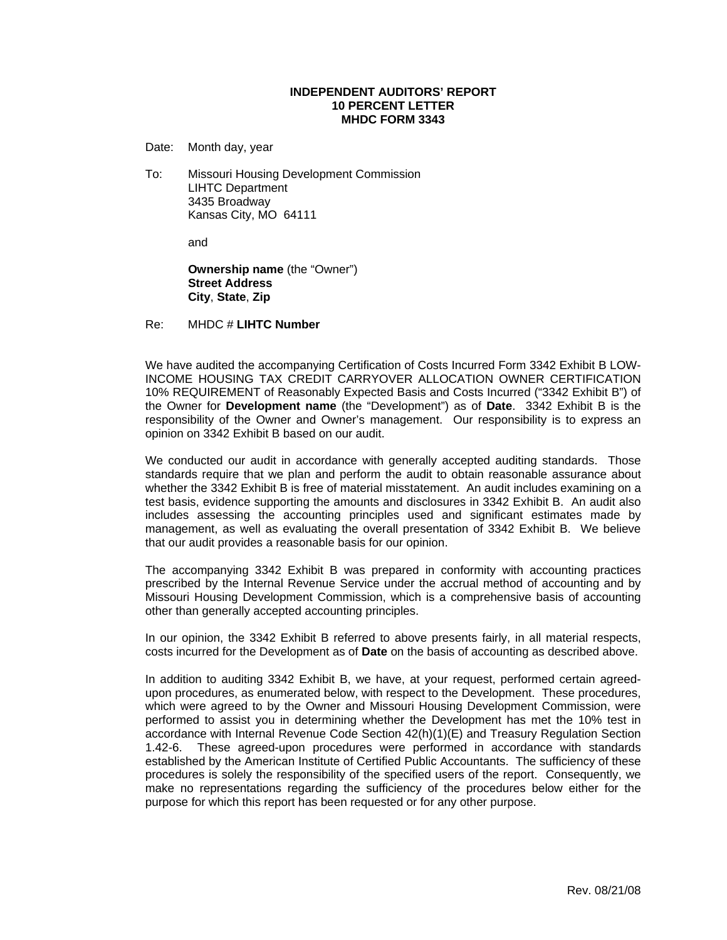## **INDEPENDENT AUDITORS' REPORT 10 PERCENT LETTER MHDC FORM 3343**

Date: Month day, year

To: Missouri Housing Development Commission LIHTC Department 3435 Broadway Kansas City, MO 64111

and

**Ownership name** (the "Owner") **Street Address City**, **State**, **Zip**

Re: MHDC # **LIHTC Number**

We have audited the accompanying Certification of Costs Incurred Form 3342 Exhibit B LOW-INCOME HOUSING TAX CREDIT CARRYOVER ALLOCATION OWNER CERTIFICATION 10% REQUIREMENT of Reasonably Expected Basis and Costs Incurred ("3342 Exhibit B") of the Owner for **Development name** (the "Development") as of **Date**. 3342 Exhibit B is the responsibility of the Owner and Owner's management. Our responsibility is to express an opinion on 3342 Exhibit B based on our audit.

We conducted our audit in accordance with generally accepted auditing standards. Those standards require that we plan and perform the audit to obtain reasonable assurance about whether the 3342 Exhibit B is free of material misstatement. An audit includes examining on a test basis, evidence supporting the amounts and disclosures in 3342 Exhibit B. An audit also includes assessing the accounting principles used and significant estimates made by management, as well as evaluating the overall presentation of 3342 Exhibit B. We believe that our audit provides a reasonable basis for our opinion.

The accompanying 3342 Exhibit B was prepared in conformity with accounting practices prescribed by the Internal Revenue Service under the accrual method of accounting and by Missouri Housing Development Commission, which is a comprehensive basis of accounting other than generally accepted accounting principles.

In our opinion, the 3342 Exhibit B referred to above presents fairly, in all material respects, costs incurred for the Development as of **Date** on the basis of accounting as described above.

In addition to auditing 3342 Exhibit B, we have, at your request, performed certain agreedupon procedures, as enumerated below, with respect to the Development. These procedures, which were agreed to by the Owner and Missouri Housing Development Commission, were performed to assist you in determining whether the Development has met the 10% test in accordance with Internal Revenue Code Section 42(h)(1)(E) and Treasury Regulation Section 1.42-6. These agreed-upon procedures were performed in accordance with standards established by the American Institute of Certified Public Accountants. The sufficiency of these procedures is solely the responsibility of the specified users of the report. Consequently, we make no representations regarding the sufficiency of the procedures below either for the purpose for which this report has been requested or for any other purpose.